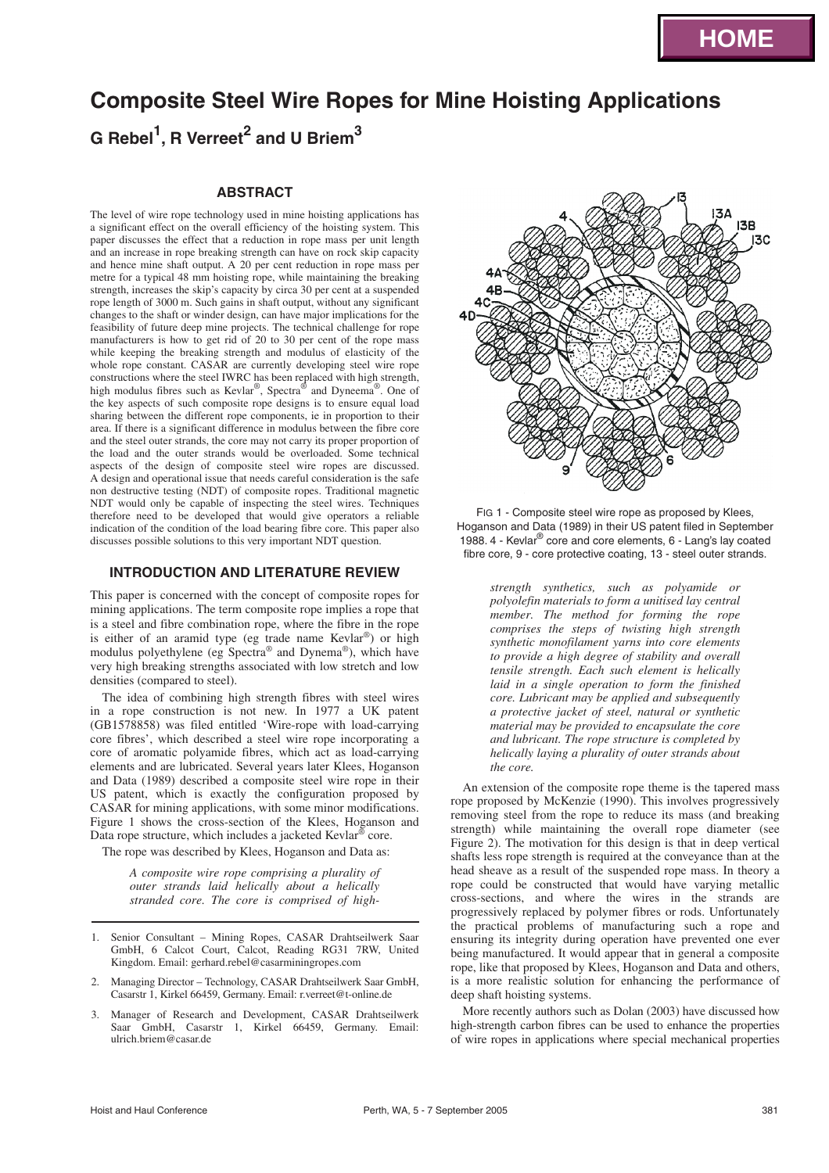# **Composite Steel Wire Ropes for Mine Hoisting Applications**

**G Rebel<sup>1</sup> , R Verreet<sup>2</sup> and U Briem<sup>3</sup>**

# **ABSTRACT**

The level of wire rope technology used in mine hoisting applications has a significant effect on the overall efficiency of the hoisting system. This paper discusses the effect that a reduction in rope mass per unit length and an increase in rope breaking strength can have on rock skip capacity and hence mine shaft output. A 20 per cent reduction in rope mass per metre for a typical 48 mm hoisting rope, while maintaining the breaking strength, increases the skip's capacity by circa 30 per cent at a suspended rope length of 3000 m. Such gains in shaft output, without any significant changes to the shaft or winder design, can have major implications for the feasibility of future deep mine projects. The technical challenge for rope manufacturers is how to get rid of 20 to 30 per cent of the rope mass while keeping the breaking strength and modulus of elasticity of the whole rope constant. CASAR are currently developing steel wire rope constructions where the steel IWRC has been replaced with high strength, high modulus fibres such as Kevlar®, Spectra® and Dyneema®. One of the key aspects of such composite rope designs is to ensure equal load sharing between the different rope components, ie in proportion to their area. If there is a significant difference in modulus between the fibre core and the steel outer strands, the core may not carry its proper proportion of the load and the outer strands would be overloaded. Some technical aspects of the design of composite steel wire ropes are discussed. A design and operational issue that needs careful consideration is the safe non destructive testing (NDT) of composite ropes. Traditional magnetic NDT would only be capable of inspecting the steel wires. Techniques therefore need to be developed that would give operators a reliable indication of the condition of the load bearing fibre core. This paper also discusses possible solutions to this very important NDT question.

# **INTRODUCTION AND LITERATURE REVIEW**

This paper is concerned with the concept of composite ropes for mining applications. The term composite rope implies a rope that is a steel and fibre combination rope, where the fibre in the rope is either of an aramid type (eg trade name Kevlar®) or high modulus polyethylene (eg Spectra® and Dynema®), which have very high breaking strengths associated with low stretch and low densities (compared to steel).

The idea of combining high strength fibres with steel wires in a rope construction is not new. In 1977 a UK patent (GB1578858) was filed entitled 'Wire-rope with load-carrying core fibres', which described a steel wire rope incorporating a core of aromatic polyamide fibres, which act as load-carrying elements and are lubricated. Several years later Klees, Hoganson and Data (1989) described a composite steel wire rope in their US patent, which is exactly the configuration proposed by CASAR for mining applications, with some minor modifications. Figure 1 shows the cross-section of the Klees, Hoganson and Data rope structure, which includes a jacketed Kevlar® core.

The rope was described by Klees, Hoganson and Data as:

*A composite wire rope comprising a plurality of outer strands laid helically about a helically stranded core. The core is comprised of high-*

- 1. Senior Consultant Mining Ropes, CASAR Drahtseilwerk Saar GmbH, 6 Calcot Court, Calcot, Reading RG31 7RW, United Kingdom. Email: gerhard.rebel@casarminingropes.com
- 2. Managing Director Technology, CASAR Drahtseilwerk Saar GmbH, Casarstr 1, Kirkel 66459, Germany. Email: r.verreet@t-online.de
- 3. Manager of Research and Development, CASAR Drahtseilwerk Saar GmbH, Casarstr 1, Kirkel 66459, Germany. Email: ulrich.briem@casar.de



FIG 1 - Composite steel wire rope as proposed by Klees, Hoganson and Data (1989) in their US patent filed in September 1988. 4 - Kevlar® core and core elements, 6 - Lang's lay coated fibre core, 9 - core protective coating, 13 - steel outer strands.

> *strength synthetics, such as polyamide or polyolefin materials to form a unitised lay central member. The method for forming the rope comprises the steps of twisting high strength synthetic monofilament yarns into core elements to provide a high degree of stability and overall tensile strength. Each such element is helically laid in a single operation to form the finished core. Lubricant may be applied and subsequently a protective jacket of steel, natural or synthetic material may be provided to encapsulate the core and lubricant. The rope structure is completed by helically laying a plurality of outer strands about the core.*

An extension of the composite rope theme is the tapered mass rope proposed by McKenzie (1990). This involves progressively removing steel from the rope to reduce its mass (and breaking strength) while maintaining the overall rope diameter (see Figure 2). The motivation for this design is that in deep vertical shafts less rope strength is required at the conveyance than at the head sheave as a result of the suspended rope mass. In theory a rope could be constructed that would have varying metallic cross-sections, and where the wires in the strands are progressively replaced by polymer fibres or rods. Unfortunately the practical problems of manufacturing such a rope and ensuring its integrity during operation have prevented one ever being manufactured. It would appear that in general a composite rope, like that proposed by Klees, Hoganson and Data and others, is a more realistic solution for enhancing the performance of deep shaft hoisting systems.

More recently authors such as Dolan (2003) have discussed how high-strength carbon fibres can be used to enhance the properties of wire ropes in applications where special mechanical properties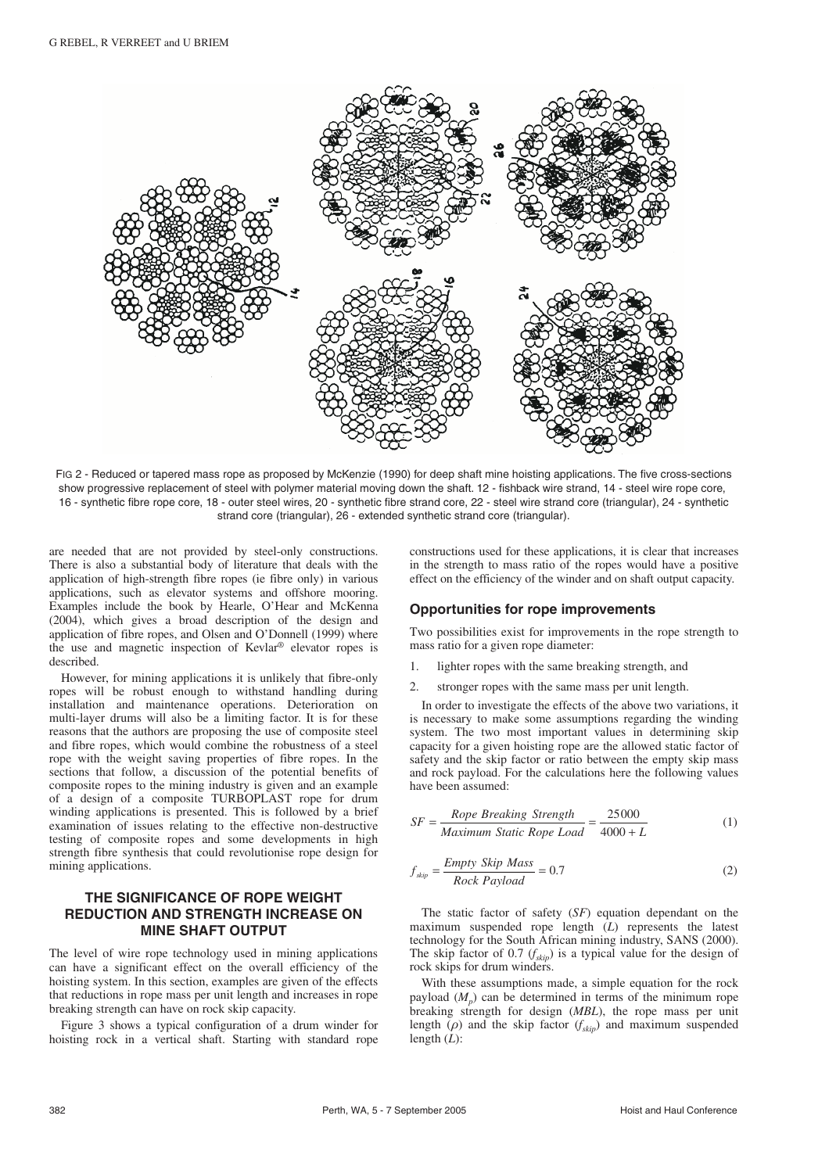

FIG 2 - Reduced or tapered mass rope as proposed by McKenzie (1990) for deep shaft mine hoisting applications. The five cross-sections show progressive replacement of steel with polymer material moving down the shaft. 12 - fishback wire strand, 14 - steel wire rope core, 16 - synthetic fibre rope core, 18 - outer steel wires, 20 - synthetic fibre strand core, 22 - steel wire strand core (triangular), 24 - synthetic strand core (triangular), 26 - extended synthetic strand core (triangular).

are needed that are not provided by steel-only constructions. There is also a substantial body of literature that deals with the application of high-strength fibre ropes (ie fibre only) in various applications, such as elevator systems and offshore mooring. Examples include the book by Hearle, O'Hear and McKenna (2004), which gives a broad description of the design and application of fibre ropes, and Olsen and O'Donnell (1999) where the use and magnetic inspection of Kevlar® elevator ropes is described.

However, for mining applications it is unlikely that fibre-only ropes will be robust enough to withstand handling during installation and maintenance operations. Deterioration on multi-layer drums will also be a limiting factor. It is for these reasons that the authors are proposing the use of composite steel and fibre ropes, which would combine the robustness of a steel rope with the weight saving properties of fibre ropes. In the sections that follow, a discussion of the potential benefits of composite ropes to the mining industry is given and an example of a design of a composite TURBOPLAST rope for drum winding applications is presented. This is followed by a brief examination of issues relating to the effective non-destructive testing of composite ropes and some developments in high strength fibre synthesis that could revolutionise rope design for mining applications.

# **THE SIGNIFICANCE OF ROPE WEIGHT REDUCTION AND STRENGTH INCREASE ON MINE SHAFT OUTPUT**

The level of wire rope technology used in mining applications can have a significant effect on the overall efficiency of the hoisting system. In this section, examples are given of the effects that reductions in rope mass per unit length and increases in rope breaking strength can have on rock skip capacity.

Figure 3 shows a typical configuration of a drum winder for hoisting rock in a vertical shaft. Starting with standard rope

constructions used for these applications, it is clear that increases in the strength to mass ratio of the ropes would have a positive effect on the efficiency of the winder and on shaft output capacity.

## **Opportunities for rope improvements**

Two possibilities exist for improvements in the rope strength to mass ratio for a given rope diameter:

- 1. lighter ropes with the same breaking strength, and
- stronger ropes with the same mass per unit length.

In order to investigate the effects of the above two variations, it is necessary to make some assumptions regarding the winding system. The two most important values in determining skip capacity for a given hoisting rope are the allowed static factor of safety and the skip factor or ratio between the empty skip mass and rock payload. For the calculations here the following values have been assumed:

$$
SF = \frac{Rope \text{ Breaking \nStrength}}{\text{Maximum Static Rope Load}} = \frac{25000}{4000 + L}
$$
 (1)

$$
f_{skip} = \frac{Empty \ Skip \ Mass}{Rock \ Payload} = 0.7
$$
 (2)

The static factor of safety (*SF*) equation dependant on the maximum suspended rope length (*L*) represents the latest technology for the South African mining industry, SANS (2000). The skip factor of 0.7  $(f_{\text{sim}})$  is a typical value for the design of rock skips for drum winders.

With these assumptions made, a simple equation for the rock payload  $(M<sub>n</sub>)$  can be determined in terms of the minimum rope breaking strength for design (*MBL*), the rope mass per unit length  $(\rho)$  and the skip factor  $(f_{skip})$  and maximum suspended length (*L*):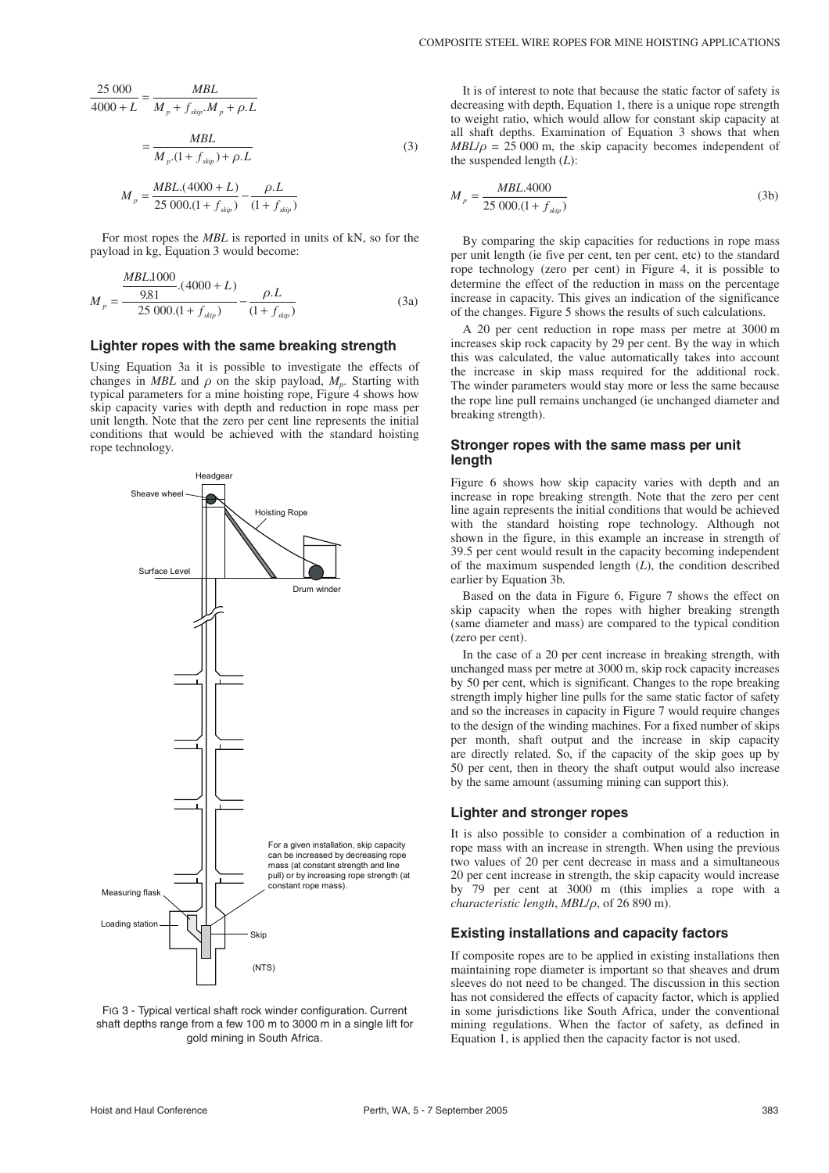$$
\frac{25\ 000}{4000 + L} = \frac{MBL}{M_p + f_{skip}M_p + \rho.L}
$$

$$
= \frac{MBL}{M_p.(1 + f_{skip}) + \rho.L}
$$
(3)
$$
M_p = \frac{MBL.(4000 + L)}{25\ 000.(1 + f_{skip})} - \frac{\rho.L}{(1 + f_{skip})}
$$

For most ropes the *MBL* is reported in units of kN, so for the payload in kg, Equation 3 would become:

$$
M_{p} = \frac{\frac{MBL1000}{9.81} \cdot (4000 + L)}{25\ 000 \cdot (1 + f_{skip})} - \frac{\rho L}{(1 + f_{skip})}
$$
(3a)

#### **Lighter ropes with the same breaking strength**

Using Equation 3a it is possible to investigate the effects of changes in *MBL* and  $\rho$  on the skip payload,  $M_p$ . Starting with typical parameters for a mine hoisting rope, Figure 4 shows how skip capacity varies with depth and reduction in rope mass per unit length. Note that the zero per cent line represents the initial conditions that would be achieved with the standard hoisting rope technology.



FIG 3 - Typical vertical shaft rock winder configuration. Current shaft depths range from a few 100 m to 3000 m in a single lift for gold mining in South Africa.

It is of interest to note that because the static factor of safety is decreasing with depth, Equation 1, there is a unique rope strength to weight ratio, which would allow for constant skip capacity at all shaft depths. Examination of Equation 3shows that when  $MBL/\rho = 25000$  m, the skip capacity becomes independent of the suspended length  $(L)$ :

$$
M_p = \frac{MBL.4000}{25\ 000. (1 + f_{\text{skip}})}
$$
 (3b)

By comparing the skip capacities for reductions in rope mass per unit length (ie five per cent, ten per cent, etc) to the standard rope technology (zero per cent) in Figure 4, it is possible to determine the effect of the reduction in mass on the percentage increase in capacity. This gives an indication of the significance of the changes. Figure 5 shows the results of such calculations.

A 20 per cent reduction in rope mass per metre at 3000 m increases skip rock capacity by 29 per cent. By the way in which this was calculated, the value automatically takes into account the increase in skip mass required for the additional rock. The winder parameters would stay more or less the same because the rope line pull remains unchanged (ie unchanged diameter and breaking strength).

### **Stronger ropes with the same mass per unit length**

Figure 6 shows how skip capacity varies with depth and an increase in rope breaking strength. Note that the zero per cent line again represents the initial conditions that would be achieved with the standard hoisting rope technology. Although not shown in the figure, in this example an increase in strength of 39.5 per cent would result in the capacity becoming independent of the maximum suspended length (*L*), the condition described earlier by Equation 3b.

Based on the data in Figure 6, Figure 7 shows the effect on skip capacity when the ropes with higher breaking strength (same diameter and mass) are compared to the typical condition (zero per cent).

In the case of a 20 per cent increase in breaking strength, with unchanged mass per metre at 3000 m, skip rock capacity increases by 50 per cent, which is significant. Changes to the rope breaking strength imply higher line pulls for the same static factor of safety and so the increases in capacity in Figure 7 would require changes to the design of the winding machines. For a fixed number of skips per month, shaft output and the increase in skip capacity are directly related. So, if the capacity of the skip goes up by 50 per cent, then in theory the shaft output would also increase by the same amount (assuming mining can support this).

## **Lighter and stronger ropes**

It is also possible to consider a combination of a reduction in rope mass with an increase in strength. When using the previous two values of 20 per cent decrease in mass and a simultaneous 20 per cent increase in strength, the skip capacity would increase by 79 per cent at 3000 m (this implies a rope with a *characteristic length*, *MBL*/ρ, of 26 890 m).

#### **Existing installations and capacity factors**

If composite ropes are to be applied in existing installations then maintaining rope diameter is important so that sheaves and drum sleeves do not need to be changed. The discussion in this section has not considered the effects of capacity factor, which is applied in some jurisdictions like South Africa, under the conventional mining regulations. When the factor of safety, as defined in Equation 1, is applied then the capacity factor is not used.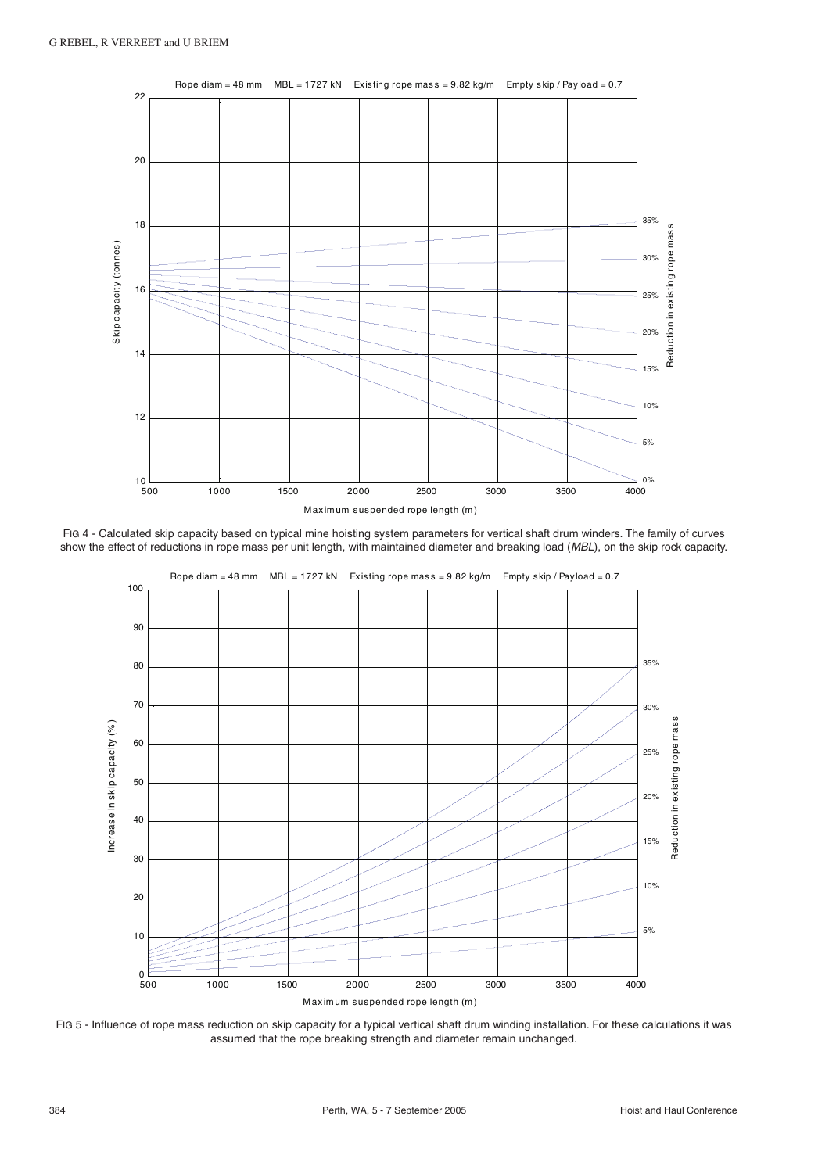

FIG 4 - Calculated skip capacity based on typical mine hoisting system parameters for vertical shaft drum winders. The family of curves show the effect of reductions in rope mass per unit length, with maintained diameter and breaking load (MBL), on the skip rock capacity.



FIG 5 - Influence of rope mass reduction on skip capacity for a typical vertical shaft drum winding installation. For these calculations it was assumed that the rope breaking strength and diameter remain unchanged.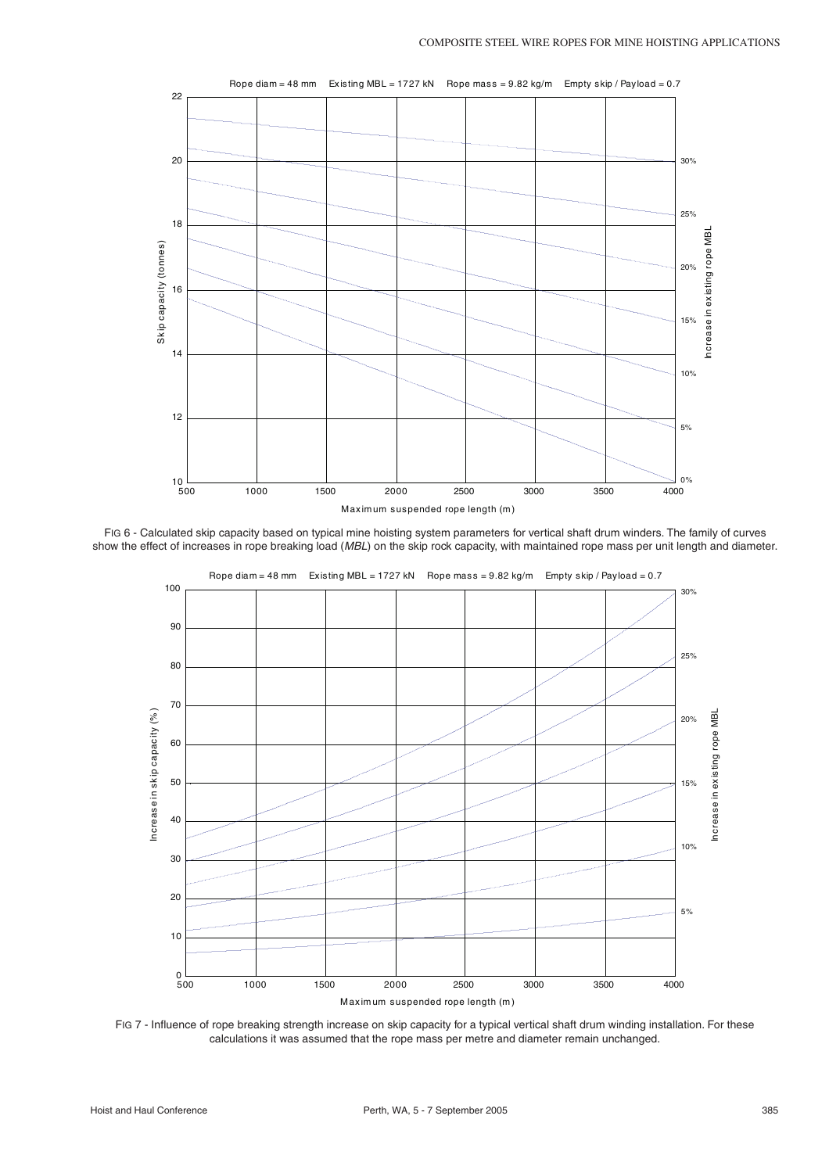

FIG 6 - Calculated skip capacity based on typical mine hoisting system parameters for vertical shaft drum winders. The family of curves show the effect of increases in rope breaking load (MBL) on the skip rock capacity, with maintained rope mass per unit length and diameter.



FIG 7 - Influence of rope breaking strength increase on skip capacity for a typical vertical shaft drum winding installation. For these calculations it was assumed that the rope mass per metre and diameter remain unchanged.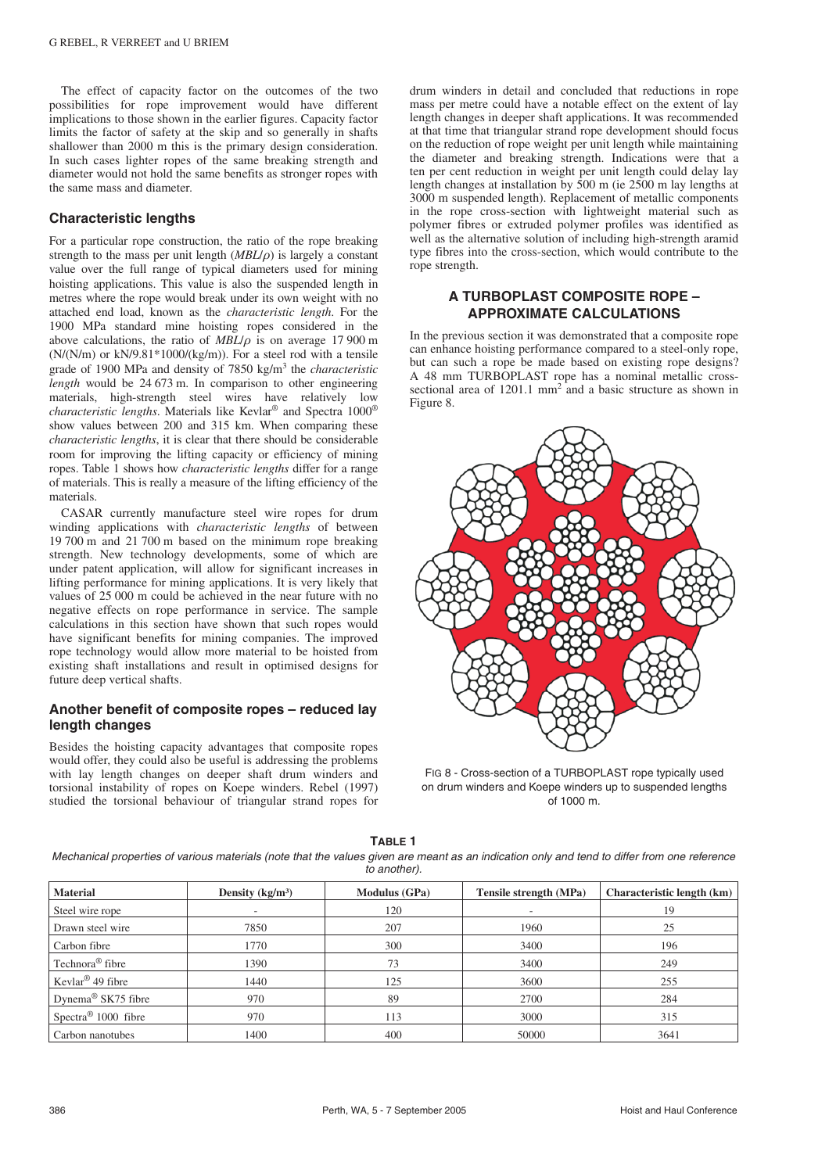The effect of capacity factor on the outcomes of the two possibilities for rope improvement would have different implications to those shown in the earlier figures. Capacity factor limits the factor of safety at the skip and so generally in shafts shallower than 2000 m this is the primary design consideration. In such cases lighter ropes of the same breaking strength and diameter would not hold the same benefits as stronger ropes with the same mass and diameter.

## **Characteristic lengths**

For a particular rope construction, the ratio of the rope breaking strength to the mass per unit length (*MBL*/*ρ*) is largely a constant value over the full range of typical diameters used for mining hoisting applications. This value is also the suspended length in metres where the rope would break under its own weight with no attached end load, known as the *characteristic length*. For the 1900 MPa standard mine hoisting ropes considered in the above calculations, the ratio of *MBL*/ρ is on average 17 900 m (N/(N/m) or kN/9.81\*1000/(kg/m)). For a steel rod with a tensile grade of 1900 MPa and density of 7850 kg/m3 the *characteristic length* would be 24.673 m. In comparison to other engineering materials, high-strength steel wires have relatively low *characteristic lengths*. Materials like Kevlar® and Spectra 1000® show values between 200 and 315 km. When comparing these *characteristic lengths*, it is clear that there should be considerable room for improving the lifting capacity or efficiency of mining ropes. Table 1 shows how *characteristic lengths* differ for a range of materials. This is really a measure of the lifting efficiency of the materials.

CASAR currently manufacture steel wire ropes for drum winding applications with *characteristic lengths* of between 19 700 m and 21 700 m based on the minimum rope breaking strength. New technology developments, some of which are under patent application, will allow for significant increases in lifting performance for mining applications. It is very likely that values of 25 000 m could be achieved in the near future with no negative effects on rope performance in service. The sample calculations in this section have shown that such ropes would have significant benefits for mining companies. The improved rope technology would allow more material to be hoisted from existing shaft installations and result in optimised designs for future deep vertical shafts.

# **Another benefit of composite ropes – reduced lay length changes**

Besides the hoisting capacity advantages that composite ropes would offer, they could also be useful is addressing the problems with lay length changes on deeper shaft drum winders and torsional instability of ropes on Koepe winders. Rebel (1997) studied the torsional behaviour of triangular strand ropes for drum winders in detail and concluded that reductions in rope mass per metre could have a notable effect on the extent of lay length changes in deeper shaft applications. It was recommended at that time that triangular strand rope development should focus on the reduction of rope weight per unit length while maintaining the diameter and breaking strength. Indications were that a ten per cent reduction in weight per unit length could delay lay length changes at installation by 500 m (ie 2500 m lay lengths at 3000 m suspended length). Replacement of metallic components in the rope cross-section with lightweight material such as polymer fibres or extruded polymer profiles was identified as well as the alternative solution of including high-strength aramid type fibres into the cross-section, which would contribute to the rope strength.

# **A TURBOPLAST COMPOSITE ROPE – APPROXIMATE CALCULATIONS**

In the previous section it was demonstrated that a composite rope can enhance hoisting performance compared to a steel-only rope, but can such a rope be made based on existing rope designs? A 48 mm TURBOPLAST rope has a nominal metallic crosssectional area of  $1201.1$  mm<sup>2</sup> and a basic structure as shown in Figure 8.



FIG 8 - Cross-section of a TURBOPLAST rope typically used on drum winders and Koepe winders up to suspended lengths of 1000 m.

**TABLE 1**

Mechanical properties of various materials (note that the values given are meant as an indication only and tend to differ from one reference to another).

| <b>Material</b>                 | Density $(kg/m^3)$ | <b>Modulus</b> (GPa) | <b>Tensile strength (MPa)</b> | Characteristic length (km) |  |
|---------------------------------|--------------------|----------------------|-------------------------------|----------------------------|--|
| Steel wire rope                 |                    | 120                  | $\overline{\phantom{a}}$      | 19                         |  |
| Drawn steel wire                | 7850               | 207                  | 1960                          | 25                         |  |
| Carbon fibre                    | 1770               | 300                  | 3400                          | 196                        |  |
| Technora <sup>®</sup> fibre     | 1390               | 73                   | 3400                          | 249                        |  |
| Kevlar <sup>®</sup> 49 fibre    | 1440               | 125                  | 3600                          | 255                        |  |
| Dynema <sup>®</sup> SK75 fibre  | 970                | 89                   | 2700                          | 284                        |  |
| Spectra <sup>®</sup> 1000 fibre | 970                | 113                  | 3000                          | 315                        |  |
| Carbon nanotubes                | 1400               | 400                  | 50000                         | 3641                       |  |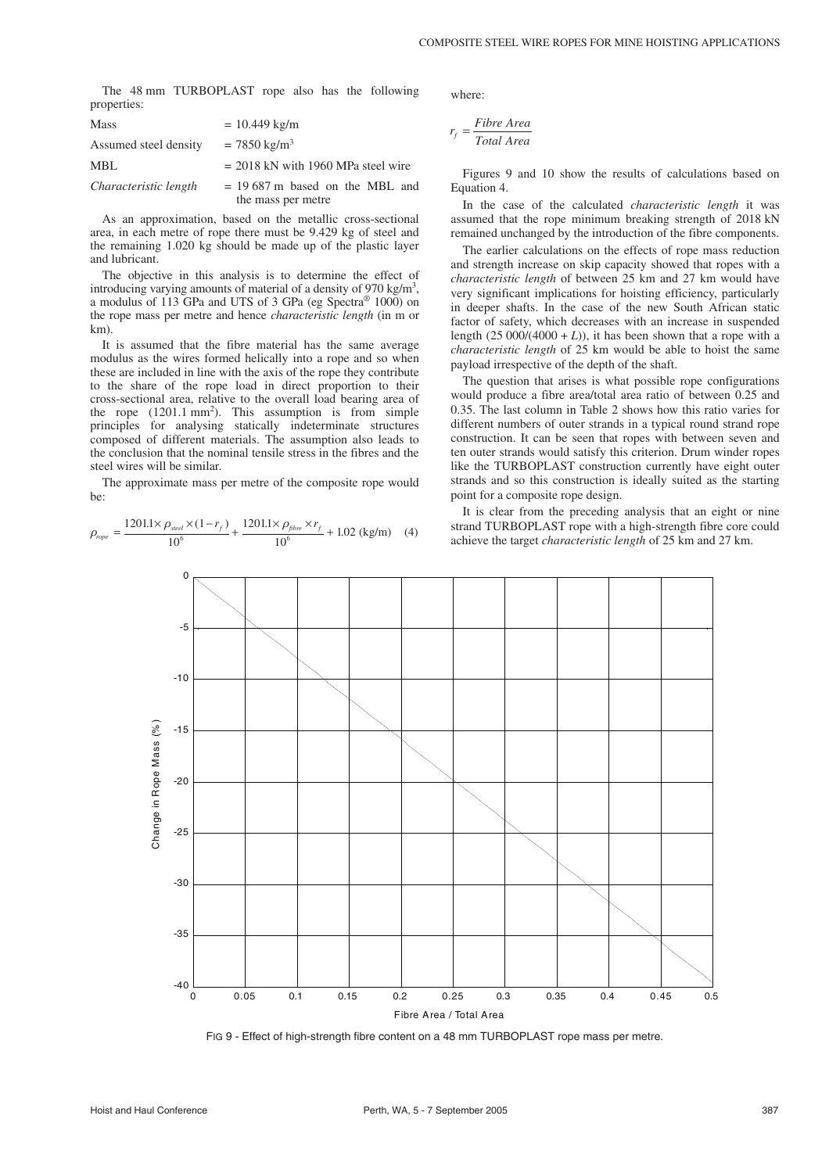The 48 mm TURBOPLAST rope also has the following properties:

| <b>Mass</b>           | $= 10.449$ kg/m                                        |  |  |  |  |  |
|-----------------------|--------------------------------------------------------|--|--|--|--|--|
| Assumed steel density | $= 7850 \text{ kg/m}^3$                                |  |  |  |  |  |
| MBL                   | $= 2018$ kN with 1960 MPa steel wire                   |  |  |  |  |  |
| Characteristic length | $= 19687$ m based on the MBL and<br>the mass per metre |  |  |  |  |  |

As an approximation, based on the metallic cross-sectional area, in each metre of rope there must be 9.429 kg of steel and the remaining 1.020 kg should be made up of the plastic layer and lubricant.

The objective in this analysis is to determine the effect of introducing varying amounts of material of a density of 970 kg/m<sup>3</sup>, a modulus of 113GPa and UTS of 3GPa (eg Spectra® 1000) on the rope mass per metre and hence *characteristic length* (in m or km).

It is assumed that the fibre material has the same average modulus as the wires formed helically into a rope and so when these are included in line with the axis of the rope they contribute to the share of the rope load in direct proportion to their cross-sectional area, relative to the overall load bearing area of the rope  $(1201.1 \text{ mm}^2)$ . This assumption is from simple principles for analysing statically indeterminate structures composed of different materials. The assumption also leads to the conclusion that the nominal tensile stress in the fibres and the steel wires will be similar.

The approximate mass per metre of the composite rope would be:

$$
\rho_{rope} = \frac{1201.1 \times \rho_{\text{steel}} \times (1 - r_f)}{10^6} + \frac{1201.1 \times \rho_{\text{fibre}} \times r_f}{10^6} + 1.02 \text{ (kg/m)} \quad (4)
$$

where:

$$
r_f = \frac{Fibre \ Area}{Total \ Area}
$$

Figures 9 and 10 show the results of calculations based on Equation 4.

In the case of the calculated *characteristic length* it was assumed that the rope minimum breaking strength of 2018 kN remained unchanged by the introduction of the fibre components.

The earlier calculations on the effects of rope mass reduction and strength increase on skip capacity showed that ropes with a *characteristic length* of between 25 km and 27 km would have very significant implications for hoisting efficiency, particularly in deeper shafts. In the case of the new South African static factor of safety, which decreases with an increase in suspended length  $(25\ 000/(4000 + L))$ , it has been shown that a rope with a *characteristic length* of 25 km would be able to hoist the same payload irrespective of the depth of the shaft.

The question that arises is what possible rope configurations would produce a fibre area/total area ratio of between 0.25 and 0.35. The last column in Table 2 shows how this ratio varies for different numbers of outer strands in a typical round strand rope construction. It can be seen that ropes with between seven and ten outer strands would satisfy this criterion. Drum winder ropes like the TURBOPLAST construction currently have eight outer strands and so this construction is ideally suited as the starting point for a composite rope design.

It is clear from the preceding analysis that an eight or nine strand TURBOPLAST rope with a high-strength fibre core could achieve the target *characteristic length* of 25 km and 27 km.



FIG 9 - Effect of high-strength fibre content on a 48 mm TURBOPLAST rope mass per metre.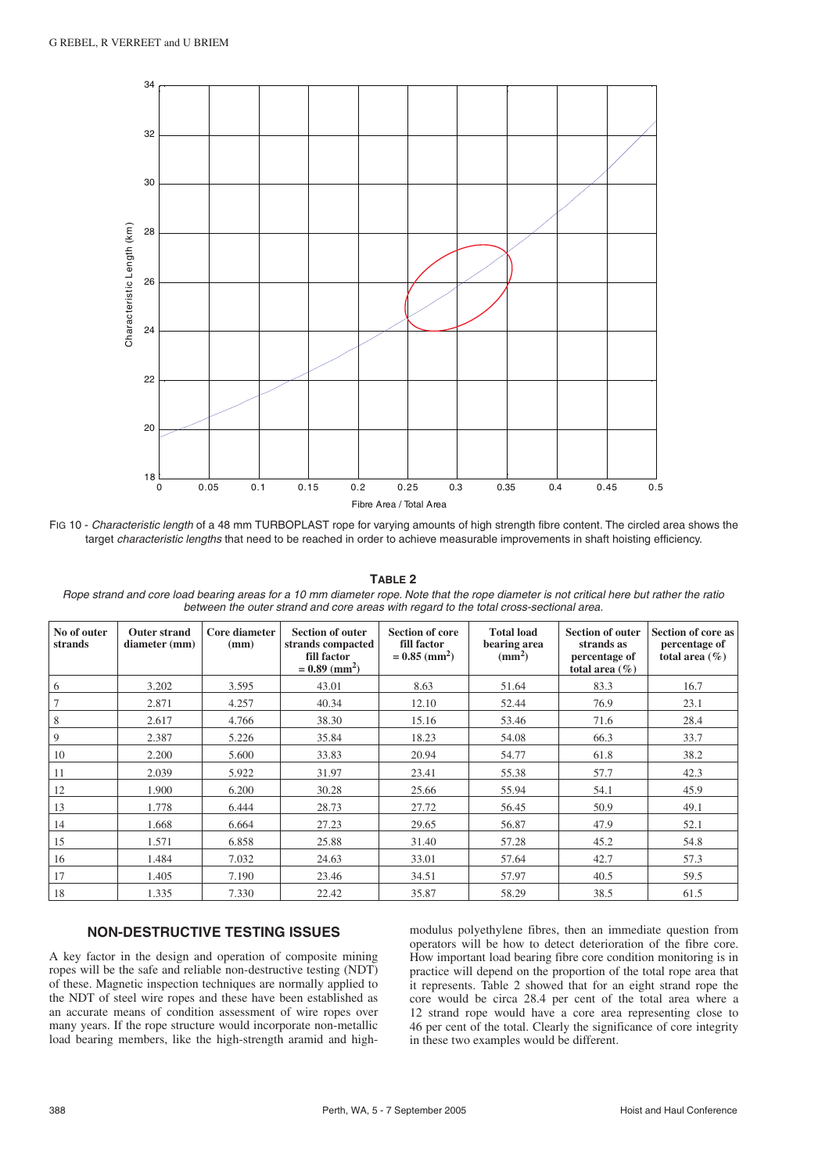

FIG 10 - Characteristic length of a 48 mm TURBOPLAST rope for varying amounts of high strength fibre content. The circled area shows the target characteristic lengths that need to be reached in order to achieve measurable improvements in shaft hoisting efficiency.

**TABLE 2**

| No of outer<br>strands | <b>Outer strand</b><br>diameter (mm) | Core diameter<br>(mm) | <b>Section of outer</b><br>strands compacted<br>fill factor<br>$= 0.89$ (mm <sup>2</sup> ) | <b>Section of core</b><br>fill factor<br>$= 0.85$ (mm <sup>2</sup> ) | <b>Total load</b><br>bearing area<br>(mm <sup>2</sup> ) | <b>Section of outer</b><br>strands as<br>percentage of<br>total area $(\% )$ | <b>Section of core as</b><br>percentage of<br>total area $(\% )$ |
|------------------------|--------------------------------------|-----------------------|--------------------------------------------------------------------------------------------|----------------------------------------------------------------------|---------------------------------------------------------|------------------------------------------------------------------------------|------------------------------------------------------------------|
| 6                      | 3.202                                | 3.595                 | 43.01                                                                                      | 8.63                                                                 | 51.64                                                   | 83.3                                                                         | 16.7                                                             |
| 7                      | 2.871                                | 4.257                 | 40.34                                                                                      | 12.10                                                                | 52.44                                                   | 76.9                                                                         | 23.1                                                             |
| 8                      | 2.617                                | 4.766                 | 38.30                                                                                      | 15.16                                                                | 53.46                                                   | 71.6                                                                         | 28.4                                                             |
| 9                      | 2.387                                | 5.226                 | 35.84                                                                                      | 18.23                                                                | 54.08                                                   | 66.3                                                                         | 33.7                                                             |
| 10                     | 2.200                                | 5.600                 | 33.83                                                                                      | 20.94                                                                | 54.77                                                   | 61.8                                                                         | 38.2                                                             |
| 11                     | 2.039                                | 5.922                 | 31.97                                                                                      | 23.41                                                                | 55.38                                                   | 57.7                                                                         | 42.3                                                             |
| 12                     | 1.900                                | 6.200                 | 30.28                                                                                      | 25.66                                                                | 55.94                                                   | 54.1                                                                         | 45.9                                                             |
| 13                     | 1.778                                | 6.444                 | 28.73                                                                                      | 27.72                                                                | 56.45                                                   | 50.9                                                                         | 49.1                                                             |
| 14                     | 1.668                                | 6.664                 | 27.23                                                                                      | 29.65                                                                | 56.87                                                   | 47.9                                                                         | 52.1                                                             |
| 15                     | 1.571                                | 6.858                 | 25.88                                                                                      | 31.40                                                                | 57.28                                                   | 45.2                                                                         | 54.8                                                             |
| 16                     | 1.484                                | 7.032                 | 24.63                                                                                      | 33.01                                                                | 57.64                                                   | 42.7                                                                         | 57.3                                                             |
| 17                     | 1.405                                | 7.190                 | 23.46                                                                                      | 34.51                                                                | 57.97                                                   | 40.5                                                                         | 59.5                                                             |
| 18                     | 1.335                                | 7.330                 | 22.42                                                                                      | 35.87                                                                | 58.29                                                   | 38.5                                                                         | 61.5                                                             |

Rope strand and core load bearing areas for a 10 mm diameter rope. Note that the rope diameter is not critical here but rather the ratio between the outer strand and core areas with regard to the total cross-sectional area.

# **NON-DESTRUCTIVE TESTING ISSUES**

A key factor in the design and operation of composite mining ropes will be the safe and reliable non-destructive testing (NDT) of these. Magnetic inspection techniques are normally applied to the NDT of steel wire ropes and these have been established as an accurate means of condition assessment of wire ropes over many years. If the rope structure would incorporate non-metallic load bearing members, like the high-strength aramid and highmodulus polyethylene fibres, then an immediate question from operators will be how to detect deterioration of the fibre core. How important load bearing fibre core condition monitoring is in practice will depend on the proportion of the total rope area that it represents. Table 2 showed that for an eight strand rope the core would be circa 28.4 per cent of the total area where a 12 strand rope would have a core area representing close to 46 per cent of the total. Clearly the significance of core integrity in these two examples would be different.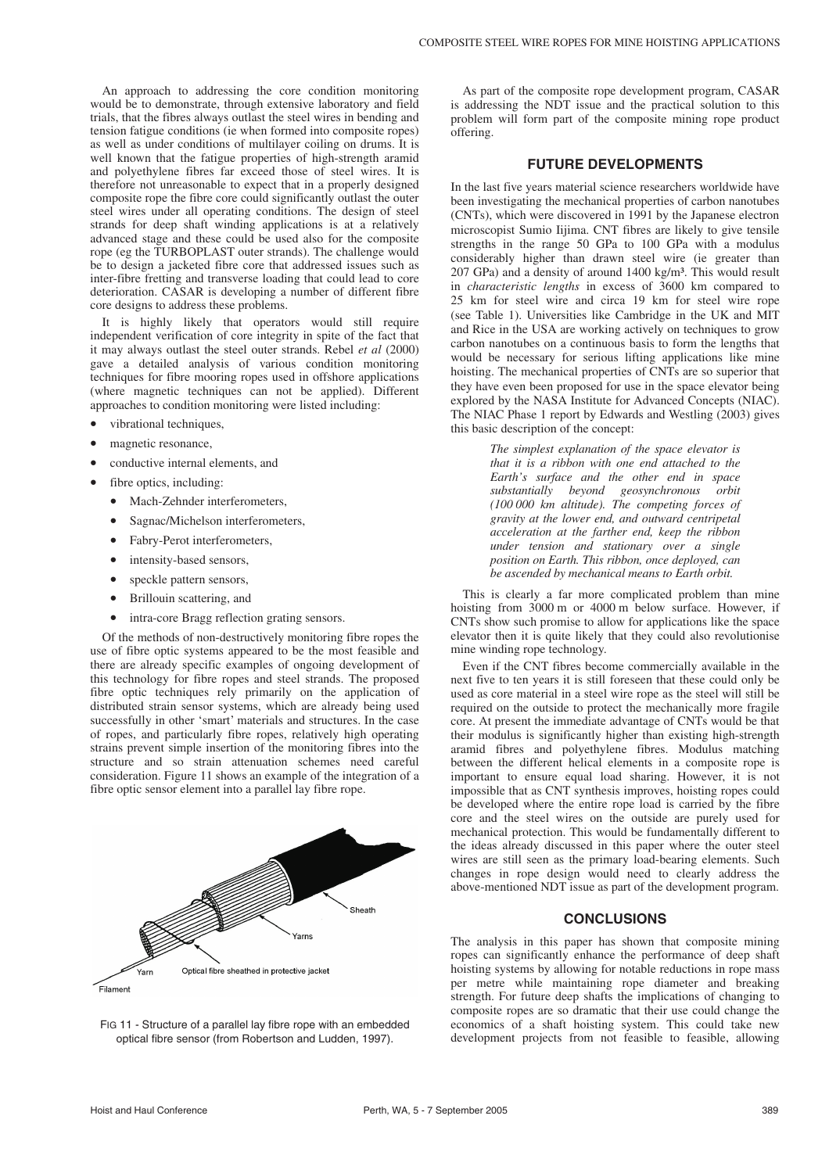An approach to addressing the core condition monitoring would be to demonstrate, through extensive laboratory and field trials, that the fibres always outlast the steel wires in bending and tension fatigue conditions (ie when formed into composite ropes) as well as under conditions of multilayer coiling on drums. It is well known that the fatigue properties of high-strength aramid and polyethylene fibres far exceed those of steel wires. It is therefore not unreasonable to expect that in a properly designed composite rope the fibre core could significantly outlast the outer steel wires under all operating conditions. The design of steel strands for deep shaft winding applications is at a relatively advanced stage and these could be used also for the composite rope (eg the TURBOPLAST outer strands). The challenge would be to design a jacketed fibre core that addressed issues such as inter-fibre fretting and transverse loading that could lead to core deterioration. CASAR is developing a number of different fibre core designs to address these problems.

It is highly likely that operators would still require independent verification of core integrity in spite of the fact that it may always outlast the steel outer strands. Rebel *et al* (2000) gave a detailed analysis of various condition monitoring techniques for fibre mooring ropes used in offshore applications (where magnetic techniques can not be applied). Different approaches to condition monitoring were listed including:

- vibrational techniques,
- magnetic resonance,
- conductive internal elements, and
	- fibre optics, including:
	- Mach-Zehnder interferometers
	- Sagnac/Michelson interferometers,
	- Fabry-Perot interferometers,
	- intensity-based sensors
	- speckle pattern sensors,
	- Brillouin scattering, and
	- intra-core Bragg reflection grating sensors.

Of the methods of non-destructively monitoring fibre ropes the use of fibre optic systems appeared to be the most feasible and there are already specific examples of ongoing development of this technology for fibre ropes and steel strands. The proposed fibre optic techniques rely primarily on the application of distributed strain sensor systems, which are already being used successfully in other 'smart' materials and structures. In the case of ropes, and particularly fibre ropes, relatively high operating strains prevent simple insertion of the monitoring fibres into the structure and so strain attenuation schemes need careful consideration. Figure 11 shows an example of the integration of a fibre optic sensor element into a parallel lay fibre rope.



FIG 11 - Structure of a parallel lay fibre rope with an embedded optical fibre sensor (from Robertson and Ludden, 1997).

As part of the composite rope development program, CASAR is addressing the NDT issue and the practical solution to this problem will form part of the composite mining rope product offering.

## **FUTURE DEVELOPMENTS**

In the last five years material science researchers worldwide have been investigating the mechanical properties of carbon nanotubes (CNTs), which were discovered in 1991 by the Japanese electron microscopist Sumio Iijima. CNT fibres are likely to give tensile strengths in the range 50 GPa to 100 GPa with a modulus considerably higher than drawn steel wire (ie greater than 207 GPa) and a density of around 1400 kg/m³. This would result in *characteristic lengths* in excess of 3600 km compared to 25 km for steel wire and circa 19 km for steel wire rope (see Table 1). Universities like Cambridge in the UK and MIT and Rice in the USA are working actively on techniques to grow carbon nanotubes on a continuous basis to form the lengths that would be necessary for serious lifting applications like mine hoisting. The mechanical properties of CNTs are so superior that they have even been proposed for use in the space elevator being explored by the NASA Institute for Advanced Concepts (NIAC). The NIAC Phase 1 report by Edwards and Westling (2003) gives this basic description of the concept:

> *The simplest explanation of the space elevator is that it is a ribbon with one end attached to the Earth's surface and the other end in space substantially beyond geosynchronous orbit (100 000 km altitude). The competing forces of gravity at the lower end, and outward centripetal acceleration at the farther end, keep the ribbon under tension and stationary over a single position on Earth. This ribbon, once deployed, can be ascended by mechanical means to Earth orbit.*

This is clearly a far more complicated problem than mine hoisting from 3000 m or 4000 m below surface. However, if CNTs show such promise to allow for applications like the space elevator then it is quite likely that they could also revolutionise mine winding rope technology.

Even if the CNT fibres become commercially available in the next five to ten years it is still foreseen that these could only be used as core material in a steel wire rope as the steel will still be required on the outside to protect the mechanically more fragile core. At present the immediate advantage of CNTs would be that their modulus is significantly higher than existing high-strength aramid fibres and polyethylene fibres. Modulus matching between the different helical elements in a composite rope is important to ensure equal load sharing. However, it is not impossible that as CNT synthesis improves, hoisting ropes could be developed where the entire rope load is carried by the fibre core and the steel wires on the outside are purely used for mechanical protection. This would be fundamentally different to the ideas already discussed in this paper where the outer steel wires are still seen as the primary load-bearing elements. Such changes in rope design would need to clearly address the above-mentioned NDT issue as part of the development program.

# **CONCLUSIONS**

The analysis in this paper has shown that composite mining ropes can significantly enhance the performance of deep shaft hoisting systems by allowing for notable reductions in rope mass per metre while maintaining rope diameter and breaking strength. For future deep shafts the implications of changing to composite ropes are so dramatic that their use could change the economics of a shaft hoisting system. This could take new development projects from not feasible to feasible, allowing